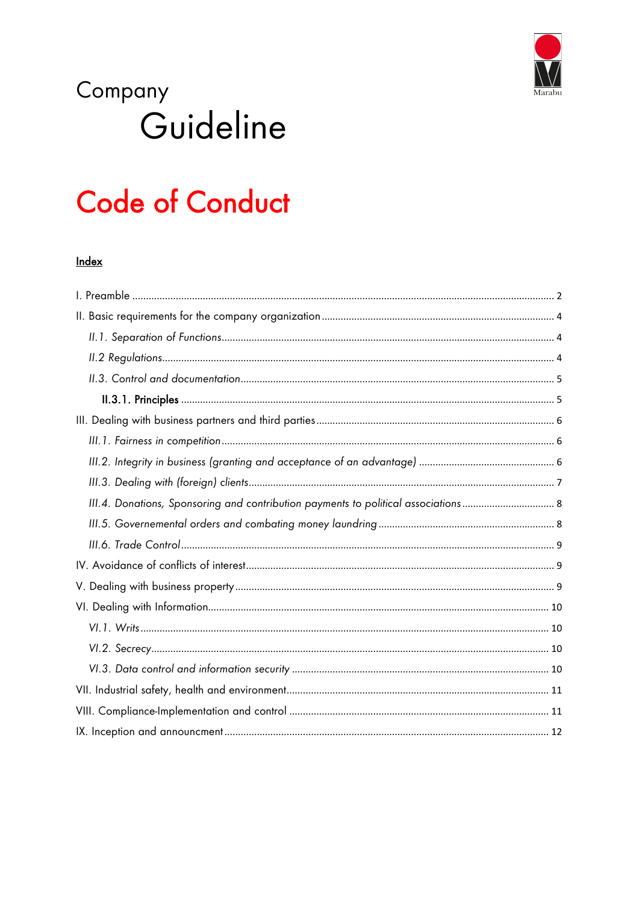

# Company Guideline

# **Code of Conduct**

# Index

| III.4. Donations, Sponsoring and contribution payments to political associations 8 |
|------------------------------------------------------------------------------------|
|                                                                                    |
|                                                                                    |
|                                                                                    |
|                                                                                    |
|                                                                                    |
|                                                                                    |
|                                                                                    |
|                                                                                    |
|                                                                                    |
|                                                                                    |
|                                                                                    |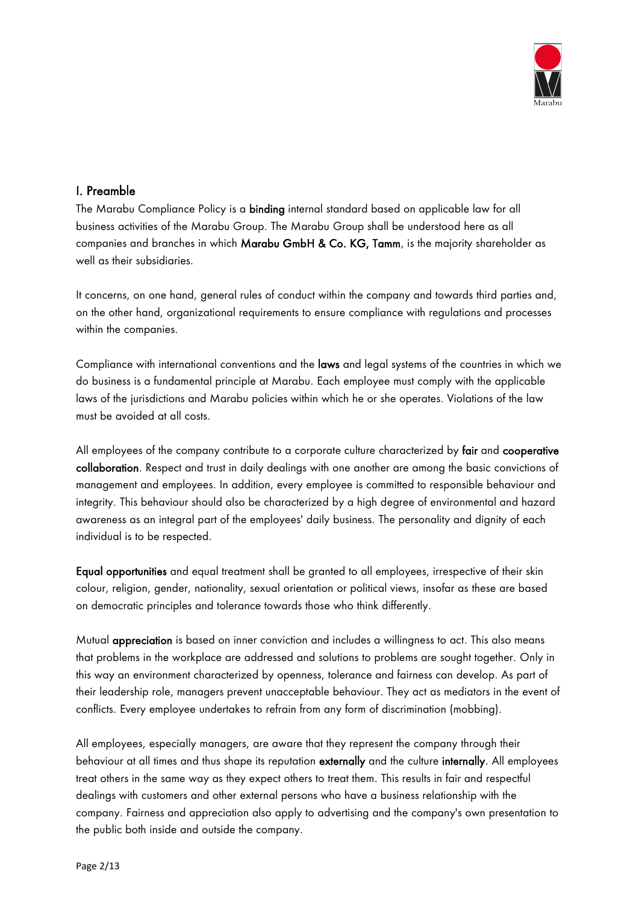

# <span id="page-1-0"></span>I. Preamble

The Marabu Compliance Policy is a binding internal standard based on applicable law for all business activities of the Marabu Group. The Marabu Group shall be understood here as all companies and branches in which Marabu GmbH & Co. KG, Tamm, is the majority shareholder as well as their subsidiaries.

It concerns, on one hand, general rules of conduct within the company and towards third parties and, on the other hand, organizational requirements to ensure compliance with regulations and processes within the companies.

Compliance with international conventions and the laws and legal systems of the countries in which we do business is a fundamental principle at Marabu. Each employee must comply with the applicable laws of the jurisdictions and Marabu policies within which he or she operates. Violations of the law must be avoided at all costs.

All employees of the company contribute to a corporate culture characterized by fair and cooperative collaboration. Respect and trust in daily dealings with one another are among the basic convictions of management and employees. In addition, every employee is committed to responsible behaviour and integrity. This behaviour should also be characterized by a high degree of environmental and hazard awareness as an integral part of the employees' daily business. The personality and dignity of each individual is to be respected.

Equal opportunities and equal treatment shall be granted to all employees, irrespective of their skin colour, religion, gender, nationality, sexual orientation or political views, insofar as these are based on democratic principles and tolerance towards those who think differently.

Mutual appreciation is based on inner conviction and includes a willingness to act. This also means that problems in the workplace are addressed and solutions to problems are sought together. Only in this way an environment characterized by openness, tolerance and fairness can develop. As part of their leadership role, managers prevent unacceptable behaviour. They act as mediators in the event of conflicts. Every employee undertakes to refrain from any form of discrimination (mobbing).

All employees, especially managers, are aware that they represent the company through their behaviour at all times and thus shape its reputation externally and the culture internally. All employees treat others in the same way as they expect others to treat them. This results in fair and respectful dealings with customers and other external persons who have a business relationship with the company. Fairness and appreciation also apply to advertising and the company's own presentation to the public both inside and outside the company.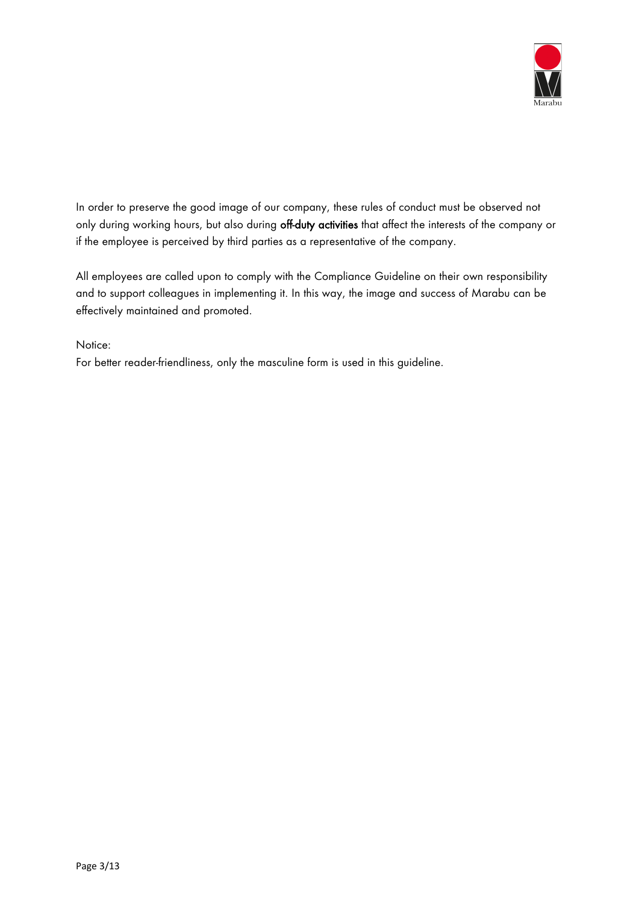

In order to preserve the good image of our company, these rules of conduct must be observed not only during working hours, but also during off-duty activities that affect the interests of the company or if the employee is perceived by third parties as a representative of the company.

All employees are called upon to comply with the Compliance Guideline on their own responsibility and to support colleagues in implementing it. In this way, the image and success of Marabu can be effectively maintained and promoted.

Notice:

For better reader-friendliness, only the masculine form is used in this guideline.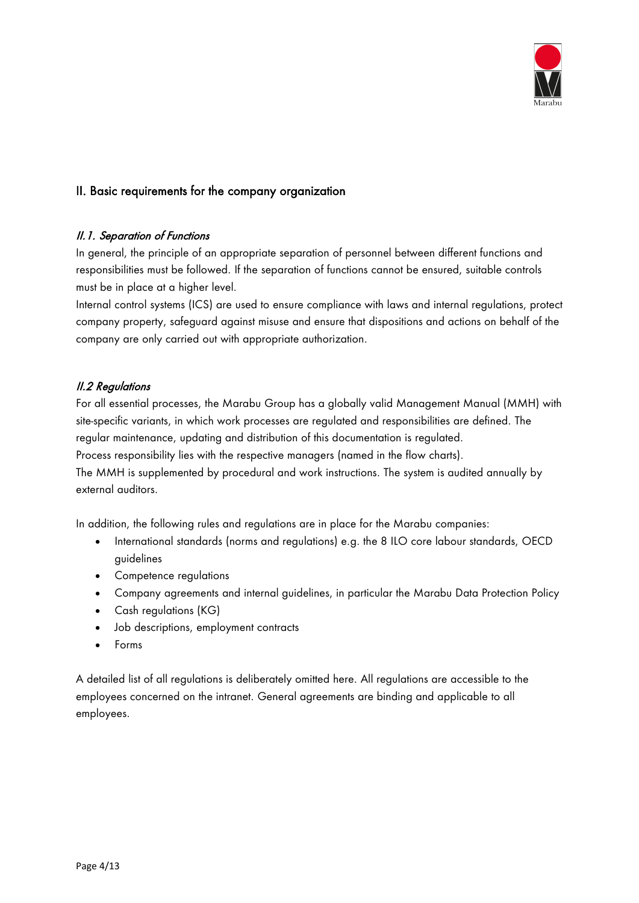

# <span id="page-3-0"></span>II. Basic requirements for the company organization

#### <span id="page-3-1"></span>II.1. Separation of Functions

In general, the principle of an appropriate separation of personnel between different functions and responsibilities must be followed. If the separation of functions cannot be ensured, suitable controls must be in place at a higher level.

Internal control systems (ICS) are used to ensure compliance with laws and internal regulations, protect company property, safeguard against misuse and ensure that dispositions and actions on behalf of the company are only carried out with appropriate authorization.

# <span id="page-3-2"></span>II.2 Regulations

For all essential processes, the Marabu Group has a globally valid Management Manual (MMH) with site-specific variants, in which work processes are regulated and responsibilities are defined. The regular maintenance, updating and distribution of this documentation is regulated. Process responsibility lies with the respective managers (named in the flow charts).

The MMH is supplemented by procedural and work instructions. The system is audited annually by external auditors.

In addition, the following rules and regulations are in place for the Marabu companies:

- International standards (norms and regulations) e.g. the 8 ILO core labour standards, OECD guidelines
- Competence regulations
- Company agreements and internal guidelines, in particular the Marabu Data Protection Policy
- Cash regulations (KG)
- Job descriptions, employment contracts
- Forms

A detailed list of all regulations is deliberately omitted here. All regulations are accessible to the employees concerned on the intranet. General agreements are binding and applicable to all employees.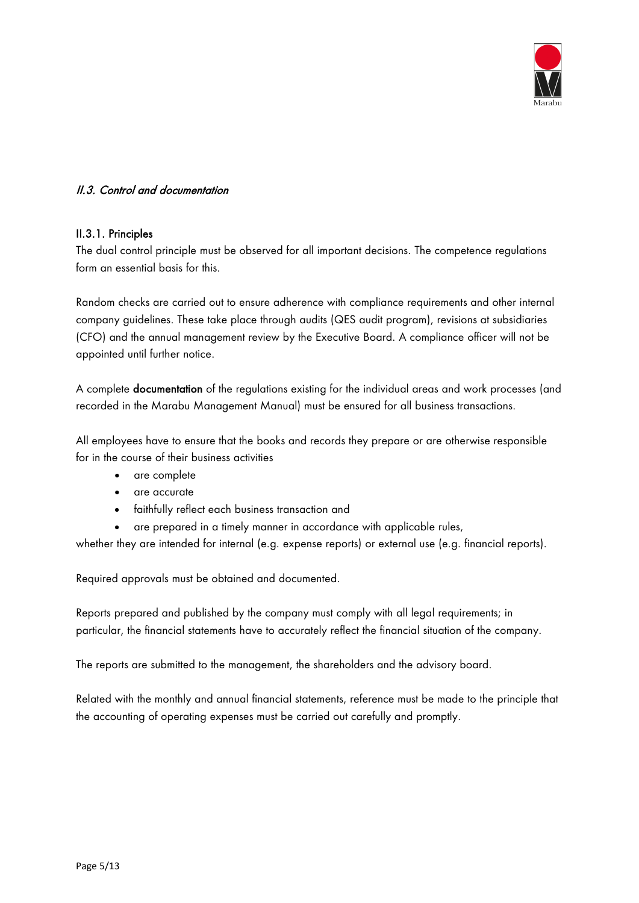

### <span id="page-4-0"></span>II.3. Control and documentation

#### <span id="page-4-1"></span>II.3.1. Principles

The dual control principle must be observed for all important decisions. The competence regulations form an essential basis for this.

Random checks are carried out to ensure adherence with compliance requirements and other internal company guidelines. These take place through audits (QES audit program), revisions at subsidiaries (CFO) and the annual management review by the Executive Board. A compliance officer will not be appointed until further notice.

A complete documentation of the regulations existing for the individual areas and work processes (and recorded in the Marabu Management Manual) must be ensured for all business transactions.

All employees have to ensure that the books and records they prepare or are otherwise responsible for in the course of their business activities

- are complete
- are accurate
- faithfully reflect each business transaction and
- are prepared in a timely manner in accordance with applicable rules,

whether they are intended for internal (e.g. expense reports) or external use (e.g. financial reports).

Required approvals must be obtained and documented.

Reports prepared and published by the company must comply with all legal requirements; in particular, the financial statements have to accurately reflect the financial situation of the company.

The reports are submitted to the management, the shareholders and the advisory board.

Related with the monthly and annual financial statements, reference must be made to the principle that the accounting of operating expenses must be carried out carefully and promptly.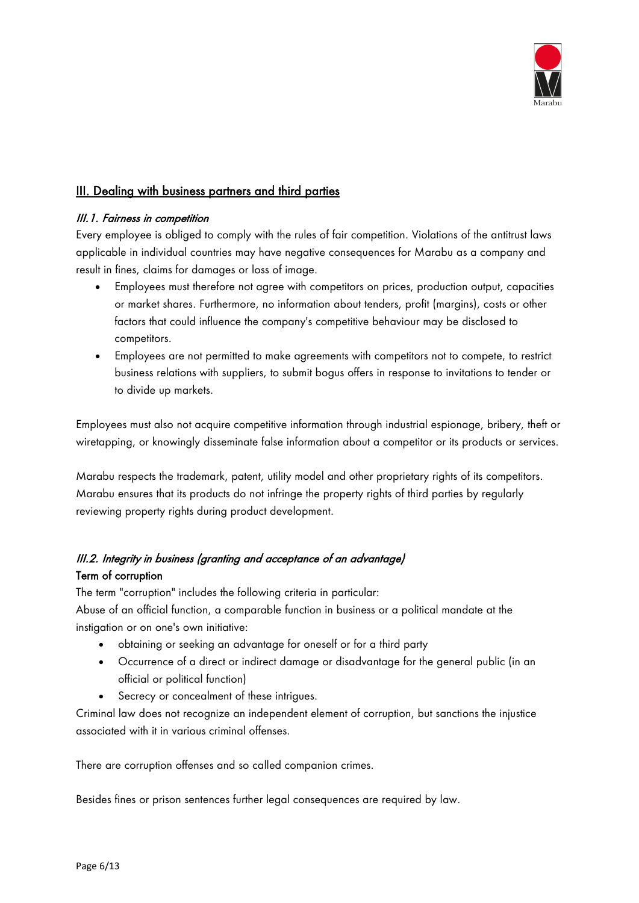

# <span id="page-5-0"></span>III. Dealing with business partners and third parties

### <span id="page-5-1"></span>III.1. Fairness in competition

Every employee is obliged to comply with the rules of fair competition. Violations of the antitrust laws applicable in individual countries may have negative consequences for Marabu as a company and result in fines, claims for damages or loss of image.

- Employees must therefore not agree with competitors on prices, production output, capacities or market shares. Furthermore, no information about tenders, profit (margins), costs or other factors that could influence the company's competitive behaviour may be disclosed to competitors.
- Employees are not permitted to make agreements with competitors not to compete, to restrict business relations with suppliers, to submit bogus offers in response to invitations to tender or to divide up markets.

Employees must also not acquire competitive information through industrial espionage, bribery, theft or wiretapping, or knowingly disseminate false information about a competitor or its products or services.

Marabu respects the trademark, patent, utility model and other proprietary rights of its competitors. Marabu ensures that its products do not infringe the property rights of third parties by regularly reviewing property rights during product development.

# <span id="page-5-2"></span>III.2. Integrity in business (granting and acceptance of an advantage) Term of corruption

The term "corruption" includes the following criteria in particular: Abuse of an official function, a comparable function in business or a political mandate at the instigation or on one's own initiative:

- obtaining or seeking an advantage for oneself or for a third party
- Occurrence of a direct or indirect damage or disadvantage for the general public (in an official or political function)
- Secrecy or concealment of these intrigues.

Criminal law does not recognize an independent element of corruption, but sanctions the injustice associated with it in various criminal offenses.

There are corruption offenses and so called companion crimes.

Besides fines or prison sentences further legal consequences are required by law.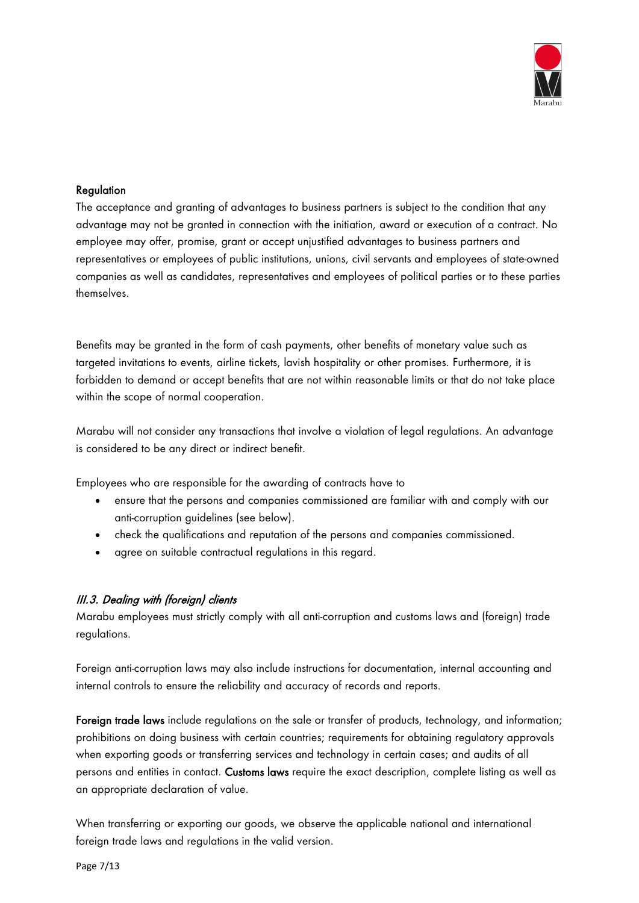

#### **Regulation**

The acceptance and granting of advantages to business partners is subject to the condition that any advantage may not be granted in connection with the initiation, award or execution of a contract. No employee may offer, promise, grant or accept unjustified advantages to business partners and representatives or employees of public institutions, unions, civil servants and employees of state-owned companies as well as candidates, representatives and employees of political parties or to these parties themselves.

Benefits may be granted in the form of cash payments, other benefits of monetary value such as targeted invitations to events, airline tickets, lavish hospitality or other promises. Furthermore, it is forbidden to demand or accept benefits that are not within reasonable limits or that do not take place within the scope of normal cooperation.

Marabu will not consider any transactions that involve a violation of legal regulations. An advantage is considered to be any direct or indirect benefit.

Employees who are responsible for the awarding of contracts have to

- ensure that the persons and companies commissioned are familiar with and comply with our anti-corruption guidelines (see below).
- check the qualifications and reputation of the persons and companies commissioned.
- agree on suitable contractual regulations in this regard.

#### <span id="page-6-0"></span>III.3. Dealing with (foreign) clients

Marabu employees must strictly comply with all anti-corruption and customs laws and (foreign) trade regulations.

Foreign anti-corruption laws may also include instructions for documentation, internal accounting and internal controls to ensure the reliability and accuracy of records and reports.

Foreign trade laws include regulations on the sale or transfer of products, technology, and information; prohibitions on doing business with certain countries; requirements for obtaining regulatory approvals when exporting goods or transferring services and technology in certain cases; and audits of all persons and entities in contact. Customs laws require the exact description, complete listing as well as an appropriate declaration of value.

When transferring or exporting our goods, we observe the applicable national and international foreign trade laws and regulations in the valid version.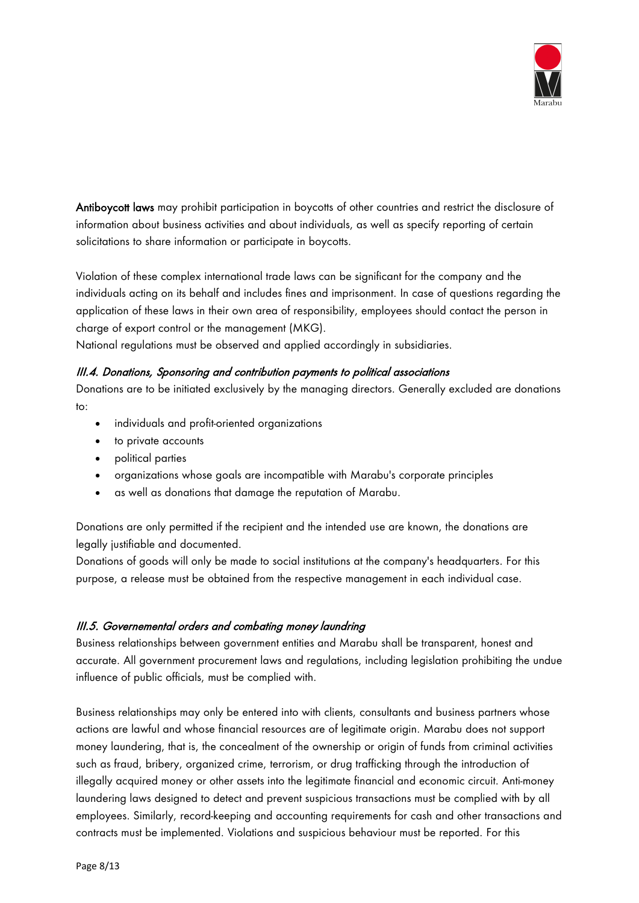

Antiboycott laws may prohibit participation in boycotts of other countries and restrict the disclosure of information about business activities and about individuals, as well as specify reporting of certain solicitations to share information or participate in boycotts.

Violation of these complex international trade laws can be significant for the company and the individuals acting on its behalf and includes fines and imprisonment. In case of questions regarding the application of these laws in their own area of responsibility, employees should contact the person in charge of export control or the management (MKG).

<span id="page-7-0"></span>National regulations must be observed and applied accordingly in subsidiaries.

#### III.4. Donations, Sponsoring and contribution payments to political associations

Donations are to be initiated exclusively by the managing directors. Generally excluded are donations to:

- individuals and profit-oriented organizations
- to private accounts
- political parties
- organizations whose goals are incompatible with Marabu's corporate principles
- as well as donations that damage the reputation of Marabu.

Donations are only permitted if the recipient and the intended use are known, the donations are legally justifiable and documented.

Donations of goods will only be made to social institutions at the company's headquarters. For this purpose, a release must be obtained from the respective management in each individual case.

#### <span id="page-7-1"></span>III.5. Governemental orders and combating money laundring

Business relationships between government entities and Marabu shall be transparent, honest and accurate. All government procurement laws and regulations, including legislation prohibiting the undue influence of public officials, must be complied with.

Business relationships may only be entered into with clients, consultants and business partners whose actions are lawful and whose financial resources are of legitimate origin. Marabu does not support money laundering, that is, the concealment of the ownership or origin of funds from criminal activities such as fraud, bribery, organized crime, terrorism, or drug trafficking through the introduction of illegally acquired money or other assets into the legitimate financial and economic circuit. Anti-money laundering laws designed to detect and prevent suspicious transactions must be complied with by all employees. Similarly, record-keeping and accounting requirements for cash and other transactions and contracts must be implemented. Violations and suspicious behaviour must be reported. For this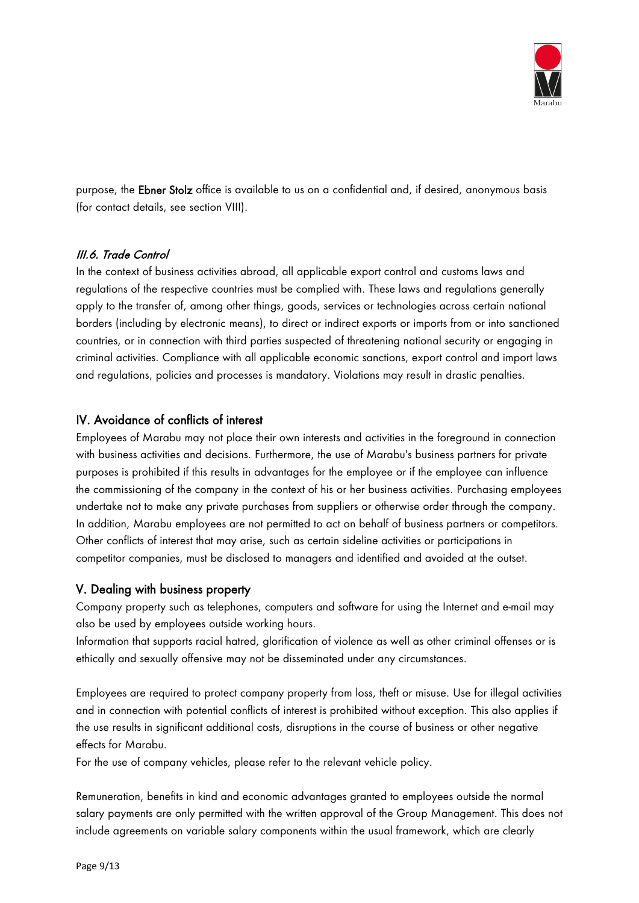

purpose, the Ebner Stolz office is available to us on a confidential and, if desired, anonymous basis (for contact details, see section VIII).

# <span id="page-8-0"></span>III.6. Trade Control

In the context of business activities abroad, all applicable export control and customs laws and regulations of the respective countries must be complied with. These laws and regulations generally apply to the transfer of, among other things, goods, services or technologies across certain national borders (including by electronic means), to direct or indirect exports or imports from or into sanctioned countries, or in connection with third parties suspected of threatening national security or engaging in criminal activities. Compliance with all applicable economic sanctions, export control and import laws and regulations, policies and processes is mandatory. Violations may result in drastic penalties.

# <span id="page-8-1"></span>IV. Avoidance of conflicts of interest

Employees of Marabu may not place their own interests and activities in the foreground in connection with business activities and decisions. Furthermore, the use of Marabu's business partners for private purposes is prohibited if this results in advantages for the employee or if the employee can influence the commissioning of the company in the context of his or her business activities. Purchasing employees undertake not to make any private purchases from suppliers or otherwise order through the company. In addition, Marabu employees are not permitted to act on behalf of business partners or competitors. Other conflicts of interest that may arise, such as certain sideline activities or participations in competitor companies, must be disclosed to managers and identified and avoided at the outset.

#### <span id="page-8-2"></span>V. Dealing with business property

Company property such as telephones, computers and software for using the Internet and e-mail may also be used by employees outside working hours.

Information that supports racial hatred, glorification of violence as well as other criminal offenses or is ethically and sexually offensive may not be disseminated under any circumstances.

Employees are required to protect company property from loss, theft or misuse. Use for illegal activities and in connection with potential conflicts of interest is prohibited without exception. This also applies if the use results in significant additional costs, disruptions in the course of business or other negative effects for Marabu.

For the use of company vehicles, please refer to the relevant vehicle policy.

Remuneration, benefits in kind and economic advantages granted to employees outside the normal salary payments are only permitted with the written approval of the Group Management. This does not include agreements on variable salary components within the usual framework, which are clearly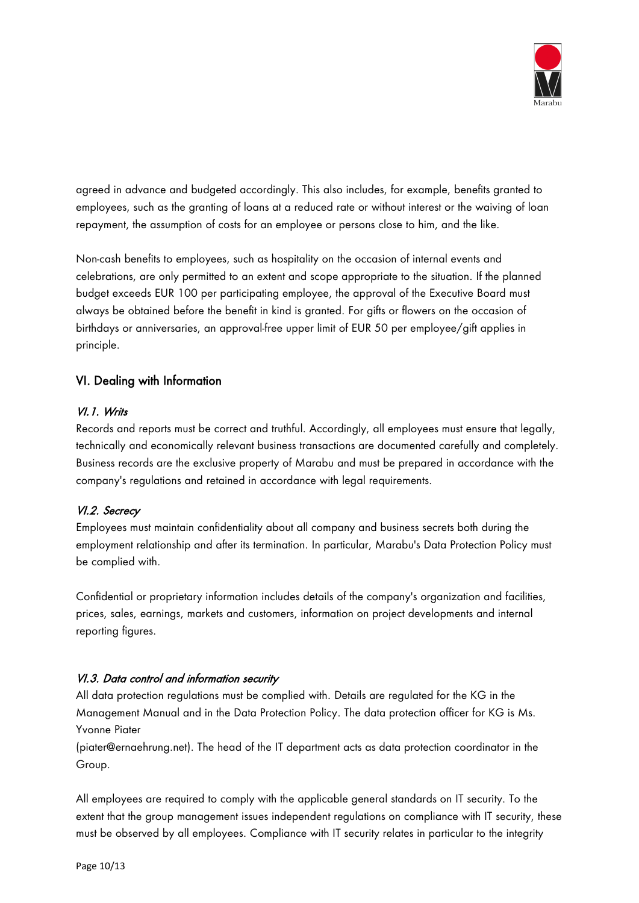

agreed in advance and budgeted accordingly. This also includes, for example, benefits granted to employees, such as the granting of loans at a reduced rate or without interest or the waiving of loan repayment, the assumption of costs for an employee or persons close to him, and the like.

Non-cash benefits to employees, such as hospitality on the occasion of internal events and celebrations, are only permitted to an extent and scope appropriate to the situation. If the planned budget exceeds EUR 100 per participating employee, the approval of the Executive Board must always be obtained before the benefit in kind is granted. For gifts or flowers on the occasion of birthdays or anniversaries, an approval-free upper limit of EUR 50 per employee/gift applies in principle.

# <span id="page-9-0"></span>VI. Dealing with Information

# <span id="page-9-1"></span>VI.1. Writs

Records and reports must be correct and truthful. Accordingly, all employees must ensure that legally, technically and economically relevant business transactions are documented carefully and completely. Business records are the exclusive property of Marabu and must be prepared in accordance with the company's regulations and retained in accordance with legal requirements.

# <span id="page-9-2"></span>VI.2. Secrecy

Employees must maintain confidentiality about all company and business secrets both during the employment relationship and after its termination. In particular, Marabu's Data Protection Policy must be complied with.

Confidential or proprietary information includes details of the company's organization and facilities, prices, sales, earnings, markets and customers, information on project developments and internal reporting figures.

# <span id="page-9-3"></span>VI.3. Data control and information security

All data protection regulations must be complied with. Details are regulated for the KG in the Management Manual and in the Data Protection Policy. The data protection officer for KG is Ms. Yvonne Piater

(piater@ernaehrung.net). The head of the IT department acts as data protection coordinator in the Group.

All employees are required to comply with the applicable general standards on IT security. To the extent that the group management issues independent regulations on compliance with IT security, these must be observed by all employees. Compliance with IT security relates in particular to the integrity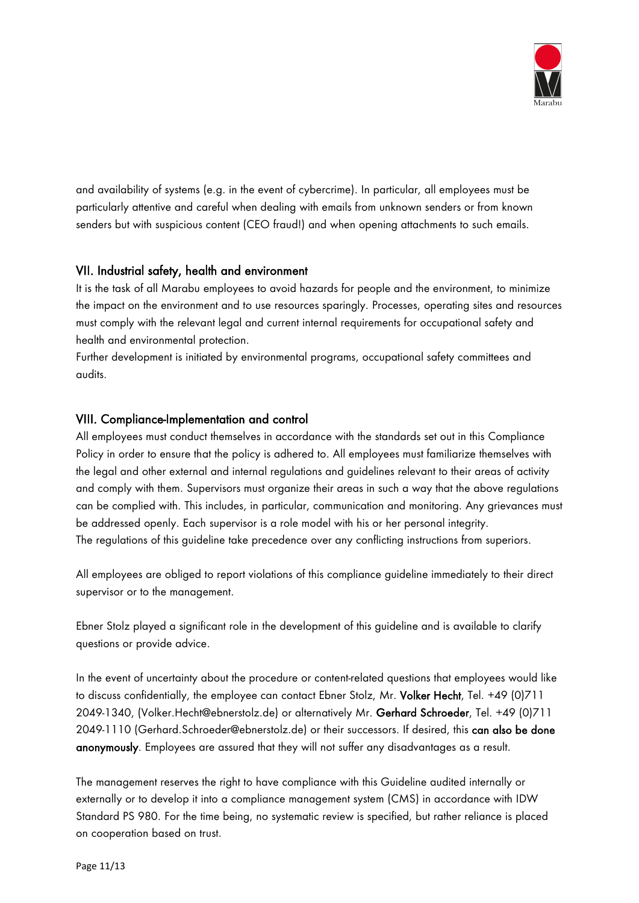

and availability of systems (e.g. in the event of cybercrime). In particular, all employees must be particularly attentive and careful when dealing with emails from unknown senders or from known senders but with suspicious content (CEO fraud!) and when opening attachments to such emails.

# <span id="page-10-0"></span>VII. Industrial safety, health and environment

It is the task of all Marabu employees to avoid hazards for people and the environment, to minimize the impact on the environment and to use resources sparingly. Processes, operating sites and resources must comply with the relevant legal and current internal requirements for occupational safety and health and environmental protection.

Further development is initiated by environmental programs, occupational safety committees and audits.

# <span id="page-10-1"></span>VIII. Compliance-Implementation and control

All employees must conduct themselves in accordance with the standards set out in this Compliance Policy in order to ensure that the policy is adhered to. All employees must familiarize themselves with the legal and other external and internal regulations and guidelines relevant to their areas of activity and comply with them. Supervisors must organize their areas in such a way that the above regulations can be complied with. This includes, in particular, communication and monitoring. Any grievances must be addressed openly. Each supervisor is a role model with his or her personal integrity. The regulations of this guideline take precedence over any conflicting instructions from superiors.

All employees are obliged to report violations of this compliance guideline immediately to their direct supervisor or to the management.

Ebner Stolz played a significant role in the development of this guideline and is available to clarify questions or provide advice.

In the event of uncertainty about the procedure or content-related questions that employees would like to discuss confidentially, the employee can contact Ebner Stolz, Mr. Volker Hecht, Tel. +49 (0)711 2049-1340, (Volker.Hecht@ebnerstolz.de) or alternatively Mr. Gerhard Schroeder, Tel. +49 (0)711 2049-1110 (Gerhard. Schroeder@ebnerstolz.de) or their successors. If desired, this can also be done anonymously. Employees are assured that they will not suffer any disadvantages as a result.

The management reserves the right to have compliance with this Guideline audited internally or externally or to develop it into a compliance management system (CMS) in accordance with IDW Standard PS 980. For the time being, no systematic review is specified, but rather reliance is placed on cooperation based on trust.